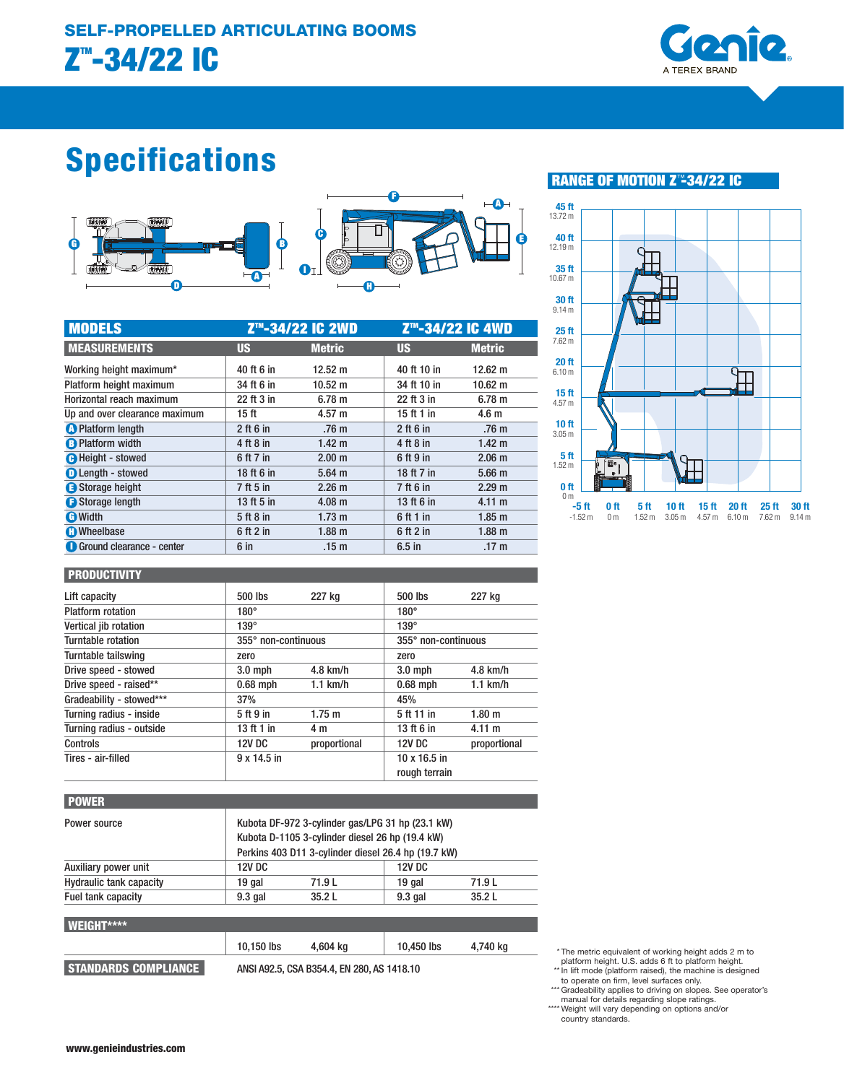

# **Specifications**



| <b>MODELS</b>                    | Z <sup>™</sup> -34/22 IC 2WD |                   | Z™-34/22 IC 4WD |                   |
|----------------------------------|------------------------------|-------------------|-----------------|-------------------|
| <b>MEASUREMENTS</b>              | <b>US</b>                    | <b>Metric</b>     | <b>US</b>       | <b>Metric</b>     |
| Working height maximum*          | 40 ft 6 in                   | $12.52 \text{ m}$ | 40 ft 10 in     | $12.62 \text{ m}$ |
| Platform height maximum          | 34 ft 6 in                   | $10.52 \text{ m}$ | 34 ft 10 in     | $10.62 \text{ m}$ |
| Horizontal reach maximum         | 22 ft 3 in                   | 6.78 m            | 22 ft 3 in      | 6.78 <sub>m</sub> |
| Up and over clearance maximum    | 15 ft                        | 4.57 m            | 15 ft 1 in      | 4.6 <sub>m</sub>  |
| <b>O</b> Platform length         | $2$ ft 6 in                  | .76 <sub>m</sub>  | $2$ ft 6 in     | .76 <sub>m</sub>  |
| <b>B</b> Platform width          | 4 ft 8 in                    | 1.42 <sub>m</sub> | 4 ft 8 in       | 1.42 <sub>m</sub> |
| <b>O</b> Height - stowed         | 6 ft 7 in                    | 2.00 <sub>m</sub> | 6 ft 9 in       | 2.06 <sub>m</sub> |
| <b>O</b> Length - stowed         | 18 ft 6 in                   | $5.64$ m          | 18 ft 7 in      | 5.66 <sub>m</sub> |
| Storage height                   | 7 ft 5 in                    | 2.26 m            | 7 ft 6 in       | 2.29 m            |
| Storage length                   | 13 ft 5 in                   | $4.08$ m          | 13 ft 6 in      | 4.11 m            |
| <b>O</b> Width                   | 5 ft 8 in                    | 1.73 m            | 6 ft 1 in       | 1.85 <sub>m</sub> |
| <b>n</b> Wheelbase               | 6 ft 2 in                    | 1.88 <sub>m</sub> | 6 ft 2 in       | 1.88 <sub>m</sub> |
| <b>Ground clearance - center</b> | 6 in                         | .15 <sub>m</sub>  | $6.5$ in        | .17 <sub>m</sub>  |

## **RANGE OF MOTION Z**™**-34/22 IC**



#### **PRODUCTIVITY**

| .                        |                     |              |                                      |                   |
|--------------------------|---------------------|--------------|--------------------------------------|-------------------|
| Lift capacity            | 500 lbs             | 227 kg       | 500 lbs                              | 227 kg            |
| <b>Platform rotation</b> | $180^\circ$         |              | $180^\circ$                          |                   |
| Vertical jib rotation    | $139^\circ$         |              | $139^\circ$                          |                   |
| Turntable rotation       | 355° non-continuous |              | 355° non-continuous                  |                   |
| Turntable tailswing      | zero                |              | zero                                 |                   |
| Drive speed - stowed     | $3.0$ mph           | $4.8$ km/h   | $3.0$ mph                            | $4.8$ km/h        |
| Drive speed - raised**   | $0.68$ mph          | $1.1$ km/h   | $0.68$ mph                           | $1.1$ km/h        |
| Gradeability - stowed*** | 37%                 |              | 45%                                  |                   |
| Turning radius - inside  | 5 ft 9 in           | 1.75 m       | 5 ft 11 in                           | 1.80 <sub>m</sub> |
| Turning radius - outside | 13 ft 1 in          | 4 m          | 13 ft 6 in                           | 4.11 m            |
| Controls                 | <b>12V DC</b>       | proportional | <b>12V DC</b>                        | proportional      |
| Tires - air-filled       | $9 \times 14.5$ in  |              | $10 \times 16.5$ in<br>rough terrain |                   |

| <b>POWER</b>                   |               |                                                                                                                                                            |               |          |  |  |
|--------------------------------|---------------|------------------------------------------------------------------------------------------------------------------------------------------------------------|---------------|----------|--|--|
| Power source                   |               | Kubota DF-972 3-cylinder gas/LPG 31 hp (23.1 kW)<br>Kubota D-1105 3-cylinder diesel 26 hp (19.4 kW)<br>Perkins 403 D11 3-cylinder diesel 26.4 hp (19.7 kW) |               |          |  |  |
| Auxiliary power unit           | <b>12V DC</b> |                                                                                                                                                            | <b>12V DC</b> |          |  |  |
| <b>Hydraulic tank capacity</b> | 19 gal        | 71.9 L                                                                                                                                                     | 19 gal        | 71.9L    |  |  |
| Fuel tank capacity             | $9.3$ gal     | 35.2L                                                                                                                                                      | $9.3$ gal     | 35.2L    |  |  |
| <b>WEIGHT****</b>              |               |                                                                                                                                                            |               |          |  |  |
|                                | 10,150 lbs    | 4.604 ka                                                                                                                                                   | 10,450 lbs    | 4,740 kg |  |  |
| <b>STANDARDS COMPLIANCE</b>    |               | ANSI A92.5, CSA B354.4, EN 280, AS 1418.10                                                                                                                 |               |          |  |  |

\* The metric equivalent of working height adds 2 m to platform height. U.S. adds 6 ft to platform height.

- \*\* In lift mode (platform raised), the machine is designed
- to operate on firm, level surfaces only. \*\*\* Gradeability applies to driving on slopes. See operator's
- 

manual for details regarding slope ratings.<br>\*\*\*\* Weight will vary depending on options and/or<br>country standards.